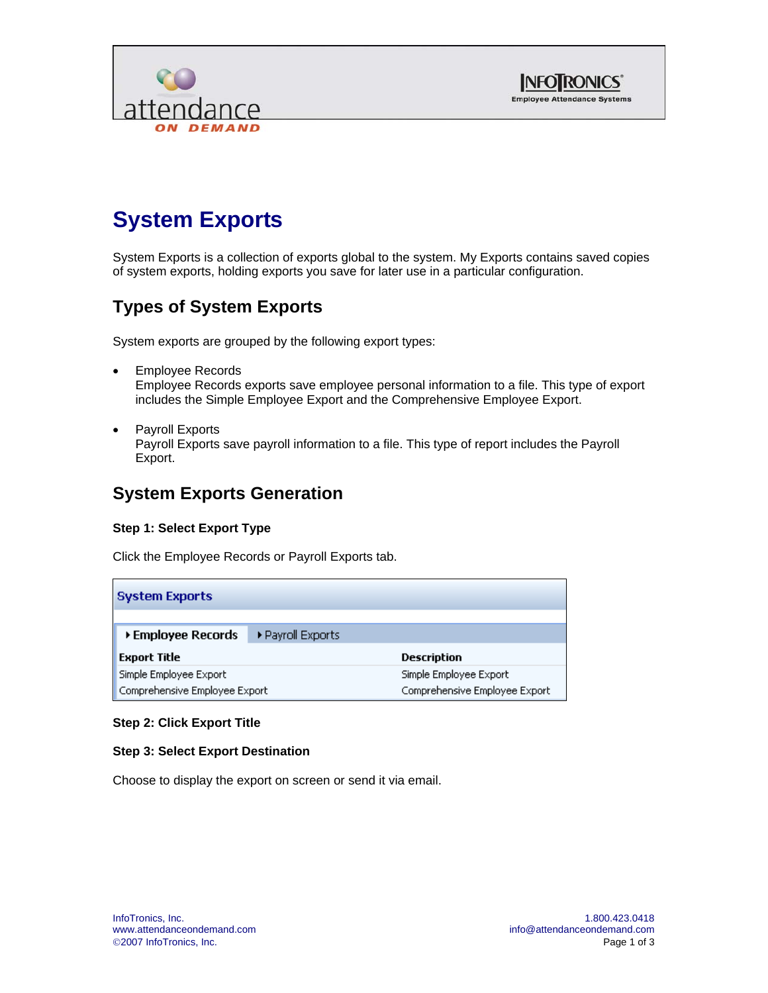



# **System Exports**

System Exports is a collection of exports global to the system. My Exports contains saved copies of system exports, holding exports you save for later use in a particular configuration.

## **Types of System Exports**

System exports are grouped by the following export types:

- Employee Records Employee Records exports save employee personal information to a file. This type of export includes the Simple Employee Export and the Comprehensive Employee Export.
- Payroll Exports Payroll Exports save payroll information to a file. This type of report includes the Payroll Export.

### **System Exports Generation**

#### **Step 1: Select Export Type**

Click the Employee Records or Payroll Exports tab.

| <b>System Exports</b>         |                   |                               |
|-------------------------------|-------------------|-------------------------------|
| ▶ Employee Records            | ▶ Payroll Exports |                               |
| <b>Export Title</b>           |                   | Description                   |
| Simple Employee Export        |                   | Simple Employee Export        |
| Comprehensive Employee Export |                   | Comprehensive Employee Export |

#### **Step 2: Click Export Title**

#### **Step 3: Select Export Destination**

Choose to display the export on screen or send it via email.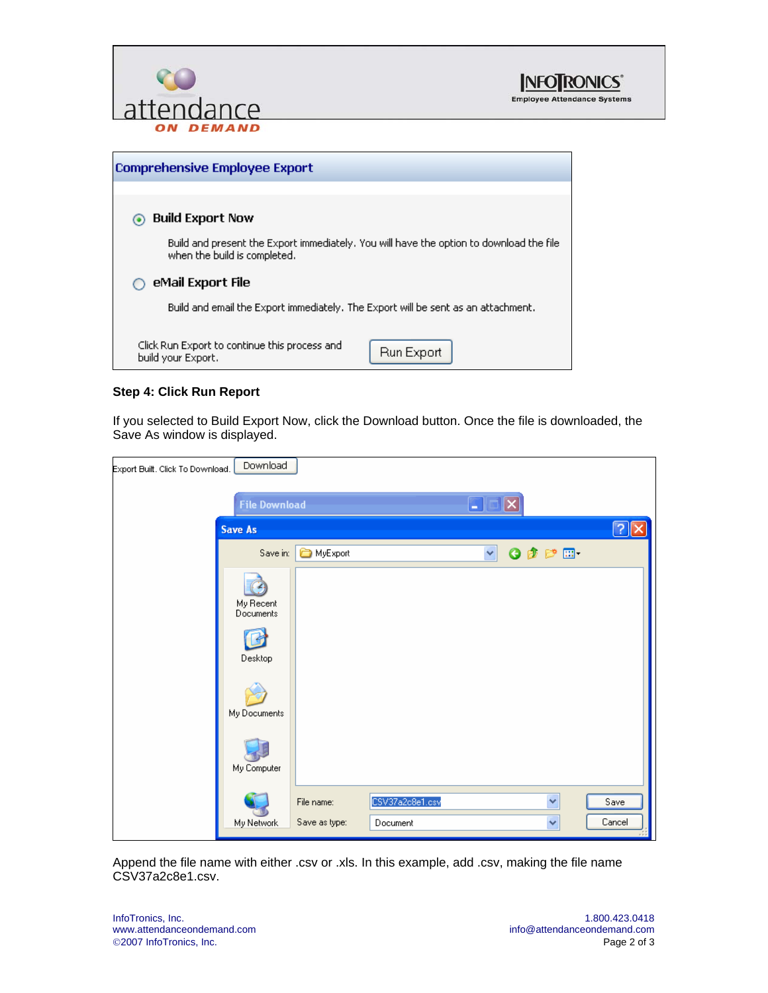





#### **Step 4: Click Run Report**

If you selected to Build Export Now, click the Download button. Once the file is downloaded, the Save As window is displayed.

| Export Built. Click To Download. | Download                          |               |                 |              |                      |            |
|----------------------------------|-----------------------------------|---------------|-----------------|--------------|----------------------|------------|
|                                  | <b>File Download</b>              |               |                 | B            |                      |            |
|                                  | <b>Save As</b>                    |               |                 |              |                      | $\sqrt{2}$ |
|                                  | Save in:                          | MyExport      |                 | $\checkmark$ | $O$ $B$ $P$ $\Pi$    |            |
|                                  | My Recent<br>Documents<br>Desktop |               |                 |              |                      |            |
|                                  | My Documents<br>My Computer       |               |                 |              |                      |            |
|                                  |                                   | File name:    | CSV37a2c8e1.csv |              | $\ddot{\phantom{1}}$ | Save       |
|                                  | My Network                        | Save as type: | Document        |              | $\checkmark$         | Cancel     |

Append the file name with either .csv or .xls. In this example, add .csv, making the file name CSV37a2c8e1.csv.